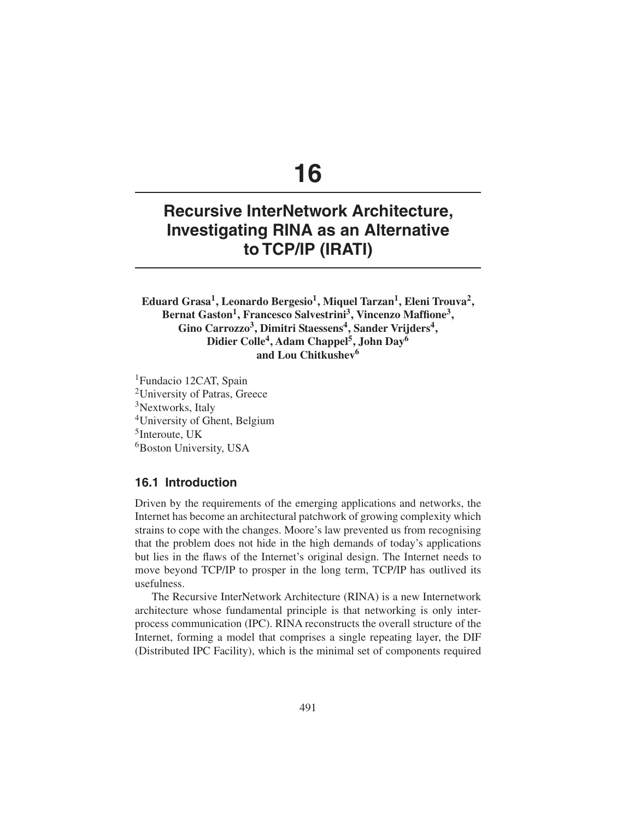# **16**

# **Recursive InterNetwork Architecture, Investigating RINA as an Alternative to TCP/IP (IRATI)**

**Eduard Grasa1, Leonardo Bergesio1, Miquel Tarzan1, Eleni Trouva2, Bernat Gaston1, Francesco Salvestrini3, Vincenzo Maffione3,** Gino Carrozzo<sup>3</sup>, Dimitri Staessens<sup>4</sup>, Sander Vrijders<sup>4</sup>, **Didier Colle4, Adam Chappel5, John Day6 and Lou Chitkushev6**

<sup>1</sup>Fundacio 12CAT, Spain 2University of Patras, Greece <sup>3</sup>Nextworks, Italy 4University of Ghent, Belgium 5Interoute, UK <sup>6</sup>Boston University, USA

# **16.1 Introduction**

Driven by the requirements of the emerging applications and networks, the Internet has become an architectural patchwork of growing complexity which strains to cope with the changes. Moore's law prevented us from recognising that the problem does not hide in the high demands of today's applications but lies in the flaws of the Internet's original design. The Internet needs to move beyond TCP/IP to prosper in the long term, TCP/IP has outlived its usefulness.

The Recursive InterNetwork Architecture (RINA) is a new Internetwork architecture whose fundamental principle is that networking is only interprocess communication (IPC). RINA reconstructs the overall structure of the Internet, forming a model that comprises a single repeating layer, the DIF (Distributed IPC Facility), which is the minimal set of components required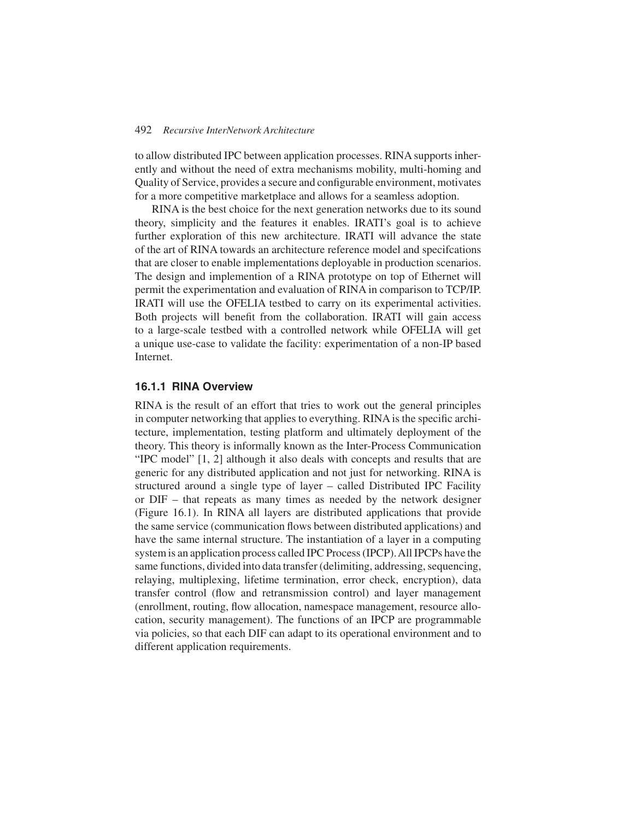to allow distributed IPC between application processes. RINA supports inherently and without the need of extra mechanisms mobility, multi-homing and Quality of Service, provides a secure and configurable environment, motivates for a more competitive marketplace and allows for a seamless adoption.

RINA is the best choice for the next generation networks due to its sound theory, simplicity and the features it enables. IRATI's goal is to achieve further exploration of this new architecture. IRATI will advance the state of the art of RINA towards an architecture reference model and specifcations that are closer to enable implementations deployable in production scenarios. The design and implemention of a RINA prototype on top of Ethernet will permit the experimentation and evaluation of RINA in comparison to TCP/IP. IRATI will use the OFELIA testbed to carry on its experimental activities. Both projects will benefit from the collaboration. IRATI will gain access to a large-scale testbed with a controlled network while OFELIA will get a unique use-case to validate the facility: experimentation of a non-IP based Internet.

# **16.1.1 RINA Overview**

RINA is the result of an effort that tries to work out the general principles in computer networking that applies to everything. RINA is the specific architecture, implementation, testing platform and ultimately deployment of the theory. This theory is informally known as the Inter-Process Communication "IPC model" [1, 2] although it also deals with concepts and results that are generic for any distributed application and not just for networking. RINA is structured around a single type of layer – called Distributed IPC Facility or DIF – that repeats as many times as needed by the network designer (Figure 16.1). In RINA all layers are distributed applications that provide the same service (communication flows between distributed applications) and have the same internal structure. The instantiation of a layer in a computing system is an application process called IPC Process (IPCP).All IPCPs have the same functions, divided into data transfer (delimiting, addressing, sequencing, relaying, multiplexing, lifetime termination, error check, encryption), data transfer control (flow and retransmission control) and layer management (enrollment, routing, flow allocation, namespace management, resource allocation, security management). The functions of an IPCP are programmable via policies, so that each DIF can adapt to its operational environment and to different application requirements.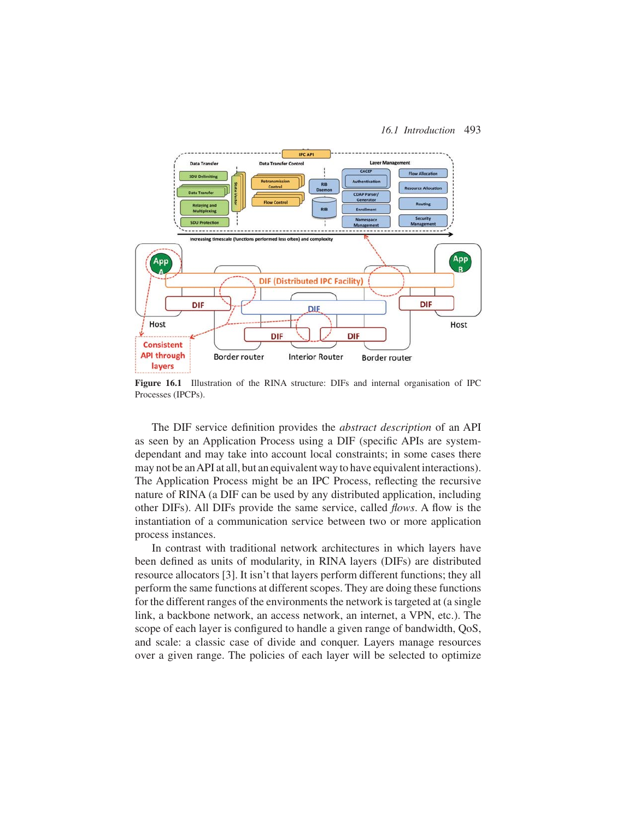

**Figure 16.1** Illustration of the RINA structure: DIFs and internal organisation of IPC Processes (IPCPs).

The DIF service definition provides the *abstract description* of an API as seen by an Application Process using a DIF (specific APIs are systemdependant and may take into account local constraints; in some cases there may not be anAPI at all, but an equivalent way to have equivalent interactions). The Application Process might be an IPC Process, reflecting the recursive nature of RINA (a DIF can be used by any distributed application, including other DIFs). All DIFs provide the same service, called *flows*. A flow is the instantiation of a communication service between two or more application process instances.

In contrast with traditional network architectures in which layers have been defined as units of modularity, in RINA layers (DIFs) are distributed resource allocators [3]. It isn't that layers perform different functions; they all perform the same functions at different scopes. They are doing these functions for the different ranges of the environments the network is targeted at (a single link, a backbone network, an access network, an internet, a VPN, etc.). The scope of each layer is configured to handle a given range of bandwidth, QoS, and scale: a classic case of divide and conquer. Layers manage resources over a given range. The policies of each layer will be selected to optimize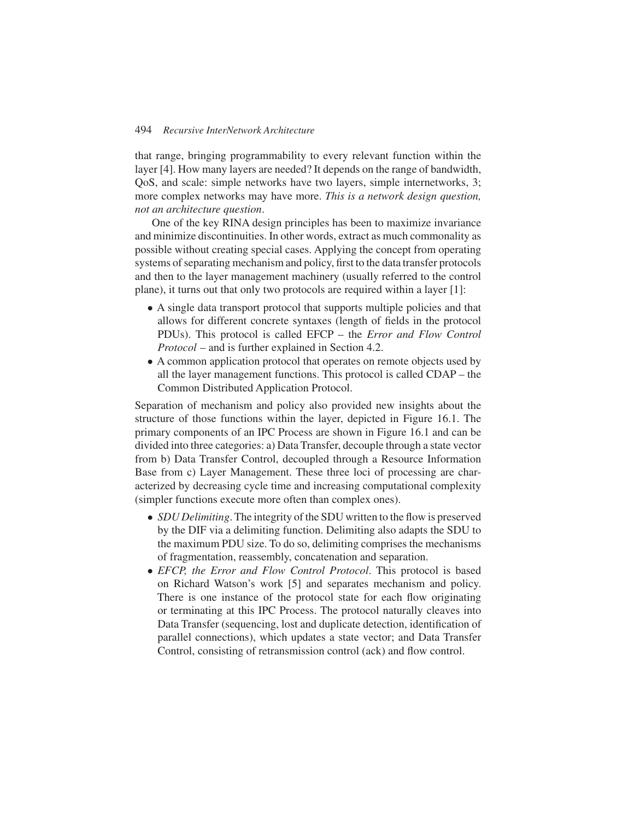that range, bringing programmability to every relevant function within the layer [4]. How many layers are needed? It depends on the range of bandwidth, QoS, and scale: simple networks have two layers, simple internetworks, 3; more complex networks may have more. *This is a network design question, not an architecture question*.

One of the key RINA design principles has been to maximize invariance and minimize discontinuities. In other words, extract as much commonality as possible without creating special cases. Applying the concept from operating systems of separating mechanism and policy, first to the data transfer protocols and then to the layer management machinery (usually referred to the control plane), it turns out that only two protocols are required within a layer [1]:

- A single data transport protocol that supports multiple policies and that allows for different concrete syntaxes (length of fields in the protocol PDUs). This protocol is called EFCP – the *Error and Flow Control Protocol* – and is further explained in Section 4.2.
- A common application protocol that operates on remote objects used by all the layer management functions. This protocol is called CDAP – the Common Distributed Application Protocol.

Separation of mechanism and policy also provided new insights about the structure of those functions within the layer, depicted in Figure 16.1. The primary components of an IPC Process are shown in Figure 16.1 and can be divided into three categories: a) Data Transfer, decouple through a state vector from b) Data Transfer Control, decoupled through a Resource Information Base from c) Layer Management. These three loci of processing are characterized by decreasing cycle time and increasing computational complexity (simpler functions execute more often than complex ones).

- *SDU Delimiting*. The integrity of the SDU written to the flow is preserved by the DIF via a delimiting function. Delimiting also adapts the SDU to the maximum PDU size. To do so, delimiting comprises the mechanisms of fragmentation, reassembly, concatenation and separation.
- *EFCP, the Error and Flow Control Protocol*. This protocol is based on Richard Watson's work [5] and separates mechanism and policy. There is one instance of the protocol state for each flow originating or terminating at this IPC Process. The protocol naturally cleaves into Data Transfer (sequencing, lost and duplicate detection, identification of parallel connections), which updates a state vector; and Data Transfer Control, consisting of retransmission control (ack) and flow control.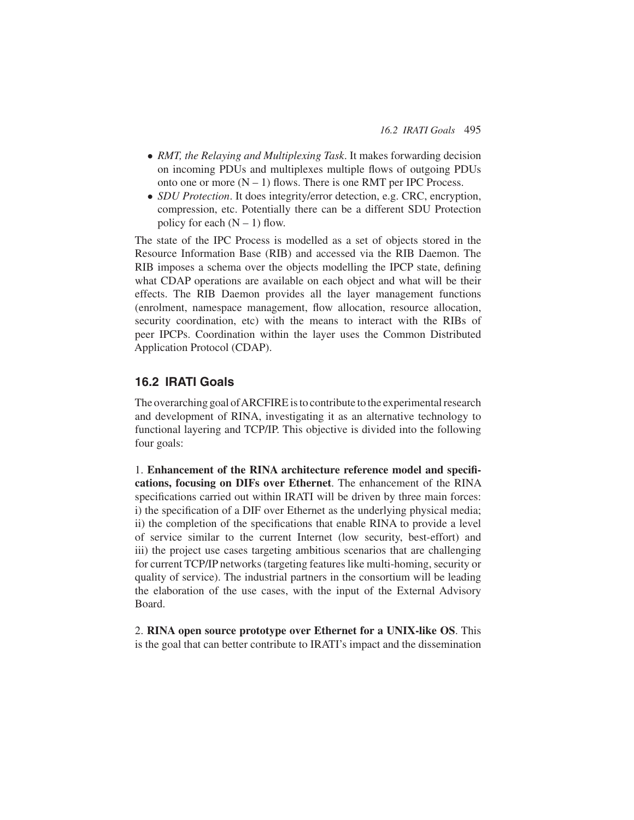- *RMT, the Relaying and Multiplexing Task*. It makes forwarding decision on incoming PDUs and multiplexes multiple flows of outgoing PDUs onto one or more  $(N - 1)$  flows. There is one RMT per IPC Process.
- *SDU Protection*. It does integrity/error detection, e.g. CRC, encryption, compression, etc. Potentially there can be a different SDU Protection policy for each  $(N - 1)$  flow.

The state of the IPC Process is modelled as a set of objects stored in the Resource Information Base (RIB) and accessed via the RIB Daemon. The RIB imposes a schema over the objects modelling the IPCP state, defining what CDAP operations are available on each object and what will be their effects. The RIB Daemon provides all the layer management functions (enrolment, namespace management, flow allocation, resource allocation, security coordination, etc) with the means to interact with the RIBs of peer IPCPs. Coordination within the layer uses the Common Distributed Application Protocol (CDAP).

# **16.2 IRATI Goals**

The overarching goal of ARCFIRE is to contribute to the experimental research and development of RINA, investigating it as an alternative technology to functional layering and TCP/IP. This objective is divided into the following four goals:

1. **Enhancement of the RINA architecture reference model and specifications, focusing on DIFs over Ethernet**. The enhancement of the RINA specifications carried out within IRATI will be driven by three main forces: i) the specification of a DIF over Ethernet as the underlying physical media; ii) the completion of the specifications that enable RINA to provide a level of service similar to the current Internet (low security, best-effort) and iii) the project use cases targeting ambitious scenarios that are challenging for current TCP/IP networks (targeting features like multi-homing, security or quality of service). The industrial partners in the consortium will be leading the elaboration of the use cases, with the input of the External Advisory Board.

2. **RINA open source prototype over Ethernet for a UNIX-like OS**. This is the goal that can better contribute to IRATI's impact and the dissemination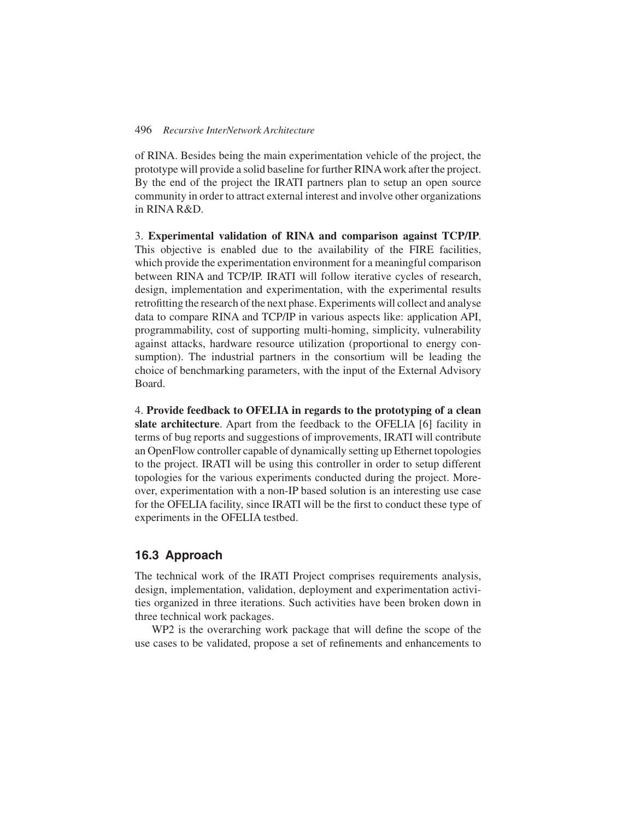of RINA. Besides being the main experimentation vehicle of the project, the prototype will provide a solid baseline for further RINA work after the project. By the end of the project the IRATI partners plan to setup an open source community in order to attract external interest and involve other organizations in RINA R&D.

3. **Experimental validation of RINA and comparison against TCP/IP**. This objective is enabled due to the availability of the FIRE facilities, which provide the experimentation environment for a meaningful comparison between RINA and TCP/IP. IRATI will follow iterative cycles of research, design, implementation and experimentation, with the experimental results retrofitting the research of the next phase. Experiments will collect and analyse data to compare RINA and TCP/IP in various aspects like: application API, programmability, cost of supporting multi-homing, simplicity, vulnerability against attacks, hardware resource utilization (proportional to energy consumption). The industrial partners in the consortium will be leading the choice of benchmarking parameters, with the input of the External Advisory Board.

4. **Provide feedback to OFELIA in regards to the prototyping of a clean slate architecture**. Apart from the feedback to the OFELIA [6] facility in terms of bug reports and suggestions of improvements, IRATI will contribute an OpenFlow controller capable of dynamically setting up Ethernet topologies to the project. IRATI will be using this controller in order to setup different topologies for the various experiments conducted during the project. Moreover, experimentation with a non-IP based solution is an interesting use case for the OFELIA facility, since IRATI will be the first to conduct these type of experiments in the OFELIA testbed.

### **16.3 Approach**

The technical work of the IRATI Project comprises requirements analysis, design, implementation, validation, deployment and experimentation activities organized in three iterations. Such activities have been broken down in three technical work packages.

WP2 is the overarching work package that will define the scope of the use cases to be validated, propose a set of refinements and enhancements to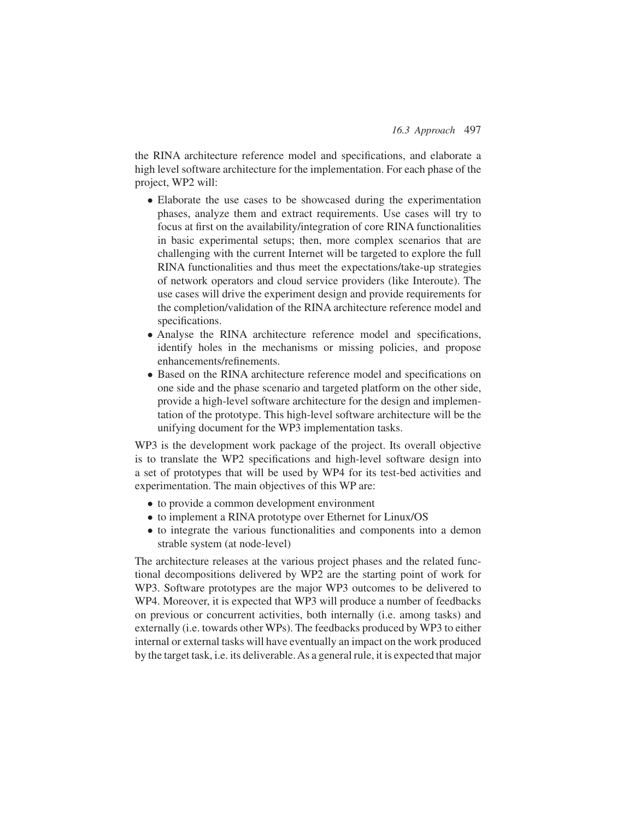the RINA architecture reference model and specifications, and elaborate a high level software architecture for the implementation. For each phase of the project, WP2 will:

- Elaborate the use cases to be showcased during the experimentation phases, analyze them and extract requirements. Use cases will try to focus at first on the availability/integration of core RINA functionalities in basic experimental setups; then, more complex scenarios that are challenging with the current Internet will be targeted to explore the full RINA functionalities and thus meet the expectations/take-up strategies of network operators and cloud service providers (like Interoute). The use cases will drive the experiment design and provide requirements for the completion/validation of the RINA architecture reference model and specifications.
- Analyse the RINA architecture reference model and specifications, identify holes in the mechanisms or missing policies, and propose enhancements/refinements.
- Based on the RINA architecture reference model and specifications on one side and the phase scenario and targeted platform on the other side, provide a high-level software architecture for the design and implementation of the prototype. This high-level software architecture will be the unifying document for the WP3 implementation tasks.

WP3 is the development work package of the project. Its overall objective is to translate the WP2 specifications and high-level software design into a set of prototypes that will be used by WP4 for its test-bed activities and experimentation. The main objectives of this WP are:

- to provide a common development environment
- to implement a RINA prototype over Ethernet for Linux/OS
- to integrate the various functionalities and components into a demon strable system (at node-level)

The architecture releases at the various project phases and the related functional decompositions delivered by WP2 are the starting point of work for WP3. Software prototypes are the major WP3 outcomes to be delivered to WP4. Moreover, it is expected that WP3 will produce a number of feedbacks on previous or concurrent activities, both internally (i.e. among tasks) and externally (i.e. towards other WPs). The feedbacks produced by WP3 to either internal or external tasks will have eventually an impact on the work produced by the target task, i.e. its deliverable.As a general rule, it is expected that major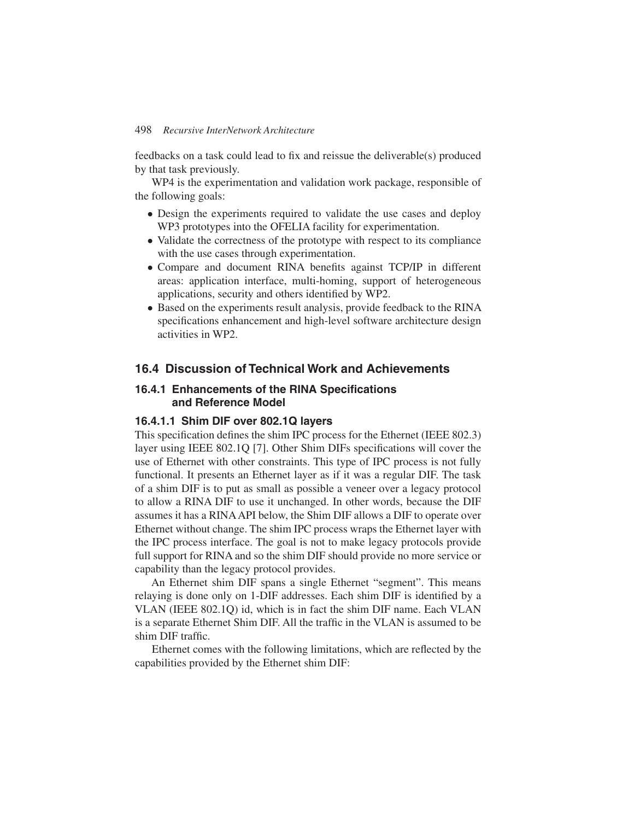feedbacks on a task could lead to fix and reissue the deliverable(s) produced by that task previously.

WP4 is the experimentation and validation work package, responsible of the following goals:

- Design the experiments required to validate the use cases and deploy WP3 prototypes into the OFELIA facility for experimentation.
- Validate the correctness of the prototype with respect to its compliance with the use cases through experimentation.
- Compare and document RINA benefits against TCP/IP in different areas: application interface, multi-homing, support of heterogeneous applications, security and others identified by WP2.
- Based on the experiments result analysis, provide feedback to the RINA specifications enhancement and high-level software architecture design activities in WP2.

# **16.4 Discussion of Technical Work and Achievements**

# **16.4.1 Enhancements of the RINA Specifications and Reference Model**

# **16.4.1.1 Shim DIF over 802.1Q layers**

This specification defines the shim IPC process for the Ethernet (IEEE 802.3) layer using IEEE 802.1Q [7]. Other Shim DIFs specifications will cover the use of Ethernet with other constraints. This type of IPC process is not fully functional. It presents an Ethernet layer as if it was a regular DIF. The task of a shim DIF is to put as small as possible a veneer over a legacy protocol to allow a RINA DIF to use it unchanged. In other words, because the DIF assumes it has a RINAAPI below, the Shim DIF allows a DIF to operate over Ethernet without change. The shim IPC process wraps the Ethernet layer with the IPC process interface. The goal is not to make legacy protocols provide full support for RINA and so the shim DIF should provide no more service or capability than the legacy protocol provides.

An Ethernet shim DIF spans a single Ethernet "segment". This means relaying is done only on 1-DIF addresses. Each shim DIF is identified by a VLAN (IEEE 802.1Q) id, which is in fact the shim DIF name. Each VLAN is a separate Ethernet Shim DIF. All the traffic in the VLAN is assumed to be shim DIF traffic.

Ethernet comes with the following limitations, which are reflected by the capabilities provided by the Ethernet shim DIF: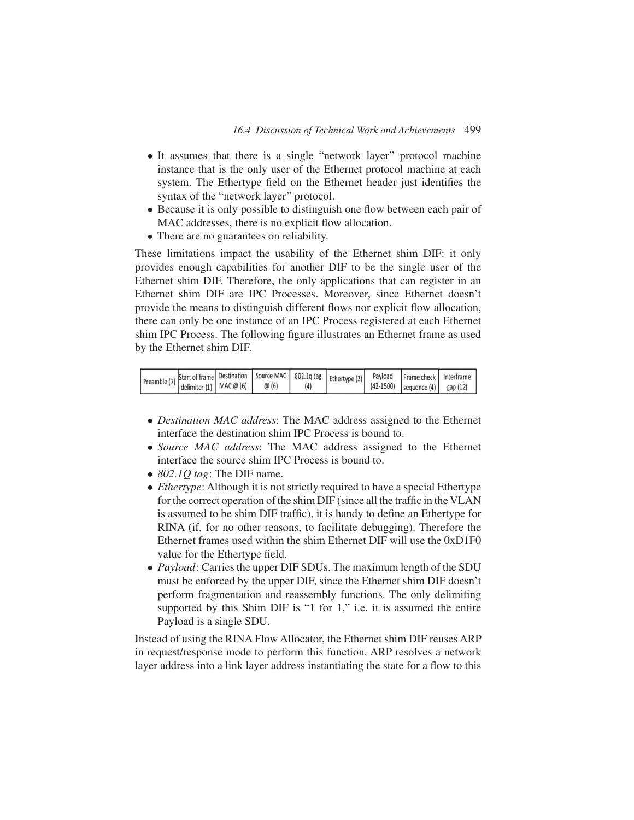- It assumes that there is a single "network layer" protocol machine instance that is the only user of the Ethernet protocol machine at each system. The Ethertype field on the Ethernet header just identifies the syntax of the "network layer" protocol.
- Because it is only possible to distinguish one flow between each pair of MAC addresses, there is no explicit flow allocation.
- There are no guarantees on reliability.

These limitations impact the usability of the Ethernet shim DIF: it only provides enough capabilities for another DIF to be the single user of the Ethernet shim DIF. Therefore, the only applications that can register in an Ethernet shim DIF are IPC Processes. Moreover, since Ethernet doesn't provide the means to distinguish different flows nor explicit flow allocation, there can only be one instance of an IPC Process registered at each Ethernet shim IPC Process. The following figure illustrates an Ethernet frame as used by the Ethernet shim DIF.

|  |  | whee (7) Start of frame   Destination   Source MAC   802.1q tag   Ethertype (2)   Payload   Frame check   Internation   MAC @ (6)   @ (6)   (4)   (4)   (4)   (4)   (4)   (4)   (4)   (4)   (4)   (4)   (4)   (4)   (4)   (4) |  |  |
|--|--|-------------------------------------------------------------------------------------------------------------------------------------------------------------------------------------------------------------------------------|--|--|
|  |  |                                                                                                                                                                                                                               |  |  |

- *Destination MAC address*: The MAC address assigned to the Ethernet interface the destination shim IPC Process is bound to.
- *Source MAC address*: The MAC address assigned to the Ethernet interface the source shim IPC Process is bound to.
- *802.1Q tag*: The DIF name.
- *Ethertype*: Although it is not strictly required to have a special Ethertype for the correct operation of the shim DIF (since all the traffic in the VLAN is assumed to be shim DIF traffic), it is handy to define an Ethertype for RINA (if, for no other reasons, to facilitate debugging). Therefore the Ethernet frames used within the shim Ethernet DIF will use the 0xD1F0 value for the Ethertype field.
- *Payload*: Carries the upper DIF SDUs. The maximum length of the SDU must be enforced by the upper DIF, since the Ethernet shim DIF doesn't perform fragmentation and reassembly functions. The only delimiting supported by this Shim DIF is "1 for 1," i.e. it is assumed the entire Payload is a single SDU.

Instead of using the RINA Flow Allocator, the Ethernet shim DIF reuses ARP in request/response mode to perform this function. ARP resolves a network layer address into a link layer address instantiating the state for a flow to this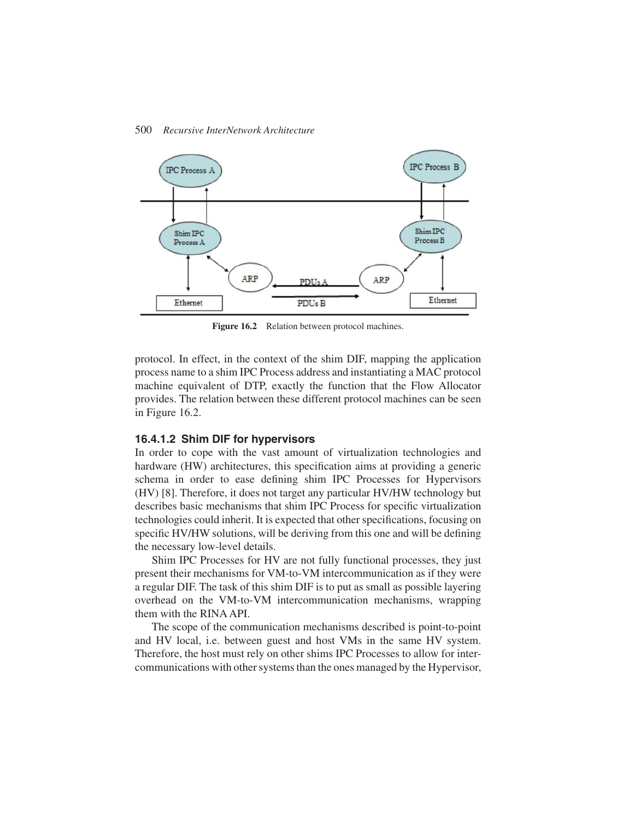

Figure 16.2 Relation between protocol machines.

protocol. In effect, in the context of the shim DIF, mapping the application process name to a shim IPC Process address and instantiating a MAC protocol machine equivalent of DTP, exactly the function that the Flow Allocator provides. The relation between these different protocol machines can be seen in Figure 16.2.

# **16.4.1.2 Shim DIF for hypervisors**

In order to cope with the vast amount of virtualization technologies and hardware (HW) architectures, this specification aims at providing a generic schema in order to ease defining shim IPC Processes for Hypervisors (HV) [8]. Therefore, it does not target any particular HV/HW technology but describes basic mechanisms that shim IPC Process for specific virtualization technologies could inherit. It is expected that other specifications, focusing on specific HV/HW solutions, will be deriving from this one and will be defining the necessary low-level details.

Shim IPC Processes for HV are not fully functional processes, they just present their mechanisms for VM-to-VM intercommunication as if they were a regular DIF. The task of this shim DIF is to put as small as possible layering overhead on the VM-to-VM intercommunication mechanisms, wrapping them with the RINA API.

The scope of the communication mechanisms described is point-to-point and HV local, i.e. between guest and host VMs in the same HV system. Therefore, the host must rely on other shims IPC Processes to allow for intercommunications with other systems than the ones managed by the Hypervisor,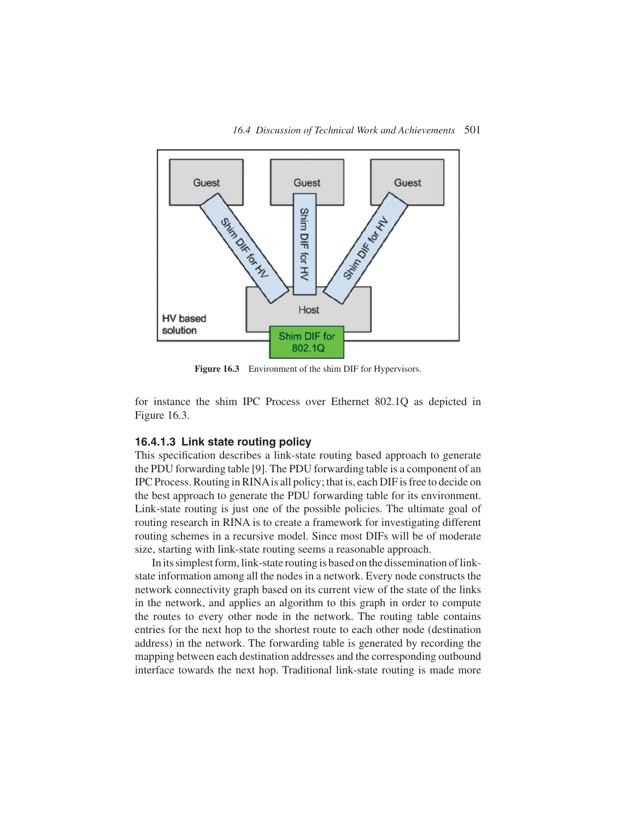

Figure 16.3 Environment of the shim DIF for Hypervisors.

for instance the shim IPC Process over Ethernet 802.1Q as depicted in Figure 16.3.

#### **16.4.1.3 Link state routing policy**

This specification describes a link-state routing based approach to generate the PDU forwarding table [9]. The PDU forwarding table is a component of an IPC Process. Routing in RINAis all policy; that is, each DIF is free to decide on the best approach to generate the PDU forwarding table for its environment. Link-state routing is just one of the possible policies. The ultimate goal of routing research in RINA is to create a framework for investigating different routing schemes in a recursive model. Since most DIFs will be of moderate size, starting with link-state routing seems a reasonable approach.

In its simplest form, link-state routing is based on the dissemination of linkstate information among all the nodes in a network. Every node constructs the network connectivity graph based on its current view of the state of the links in the network, and applies an algorithm to this graph in order to compute the routes to every other node in the network. The routing table contains entries for the next hop to the shortest route to each other node (destination address) in the network. The forwarding table is generated by recording the mapping between each destination addresses and the corresponding outbound interface towards the next hop. Traditional link-state routing is made more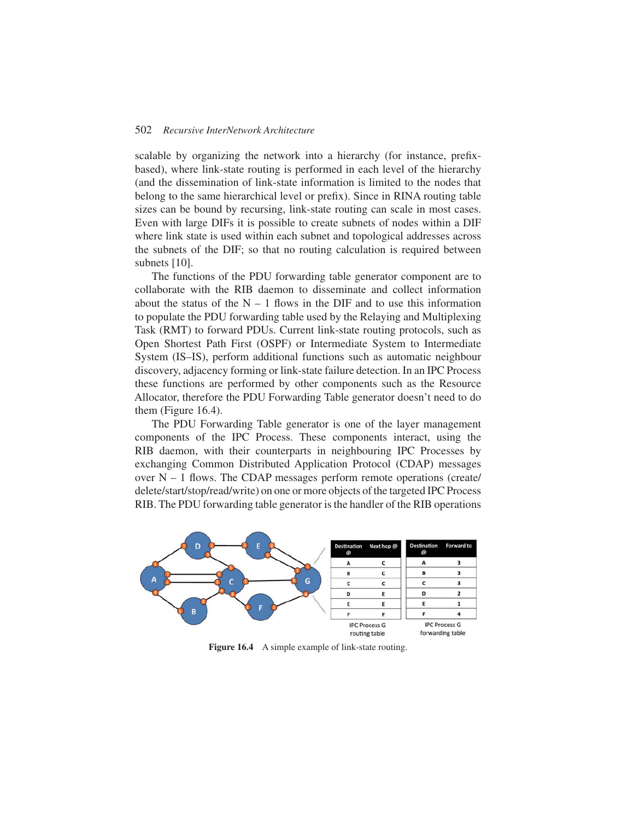scalable by organizing the network into a hierarchy (for instance, prefixbased), where link-state routing is performed in each level of the hierarchy (and the dissemination of link-state information is limited to the nodes that belong to the same hierarchical level or prefix). Since in RINA routing table sizes can be bound by recursing, link-state routing can scale in most cases. Even with large DIFs it is possible to create subnets of nodes within a DIF where link state is used within each subnet and topological addresses across the subnets of the DIF; so that no routing calculation is required between subnets [10].

The functions of the PDU forwarding table generator component are to collaborate with the RIB daemon to disseminate and collect information about the status of the  $N - 1$  flows in the DIF and to use this information to populate the PDU forwarding table used by the Relaying and Multiplexing Task (RMT) to forward PDUs. Current link-state routing protocols, such as Open Shortest Path First (OSPF) or Intermediate System to Intermediate System (IS–IS), perform additional functions such as automatic neighbour discovery, adjacency forming or link-state failure detection. In an IPC Process these functions are performed by other components such as the Resource Allocator, therefore the PDU Forwarding Table generator doesn't need to do them (Figure 16.4).

The PDU Forwarding Table generator is one of the layer management components of the IPC Process. These components interact, using the RIB daemon, with their counterparts in neighbouring IPC Processes by exchanging Common Distributed Application Protocol (CDAP) messages over N – 1 flows. The CDAP messages perform remote operations (create/ delete/start/stop/read/write) on one or more objects of the targeted IPC Process RIB. The PDU forwarding table generator is the handler of the RIB operations



Figure 16.4 A simple example of link-state routing.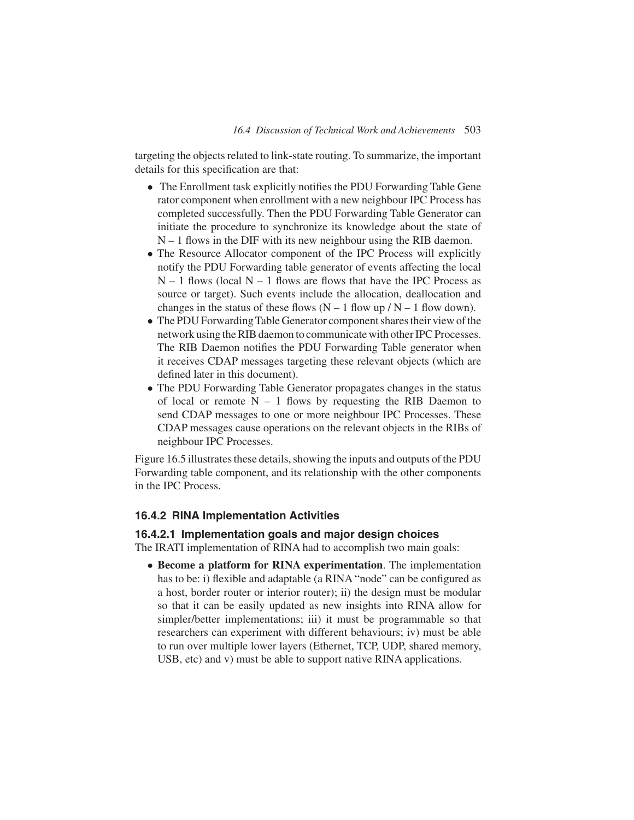targeting the objects related to link-state routing. To summarize, the important details for this specification are that:

- The Enrollment task explicitly notifies the PDU Forwarding Table Gene rator component when enrollment with a new neighbour IPC Process has completed successfully. Then the PDU Forwarding Table Generator can initiate the procedure to synchronize its knowledge about the state of  $N-1$  flows in the DIF with its new neighbour using the RIB daemon.
- The Resource Allocator component of the IPC Process will explicitly notify the PDU Forwarding table generator of events affecting the local  $N - 1$  flows (local  $N - 1$  flows are flows that have the IPC Process as source or target). Such events include the allocation, deallocation and changes in the status of these flows  $(N - 1$  flow up  $/N - 1$  flow down).
- The PDU Forwarding Table Generator component shares their view of the network using the RIB daemon to communicate with other IPC Processes. The RIB Daemon notifies the PDU Forwarding Table generator when it receives CDAP messages targeting these relevant objects (which are defined later in this document).
- The PDU Forwarding Table Generator propagates changes in the status of local or remote  $N - 1$  flows by requesting the RIB Daemon to send CDAP messages to one or more neighbour IPC Processes. These CDAP messages cause operations on the relevant objects in the RIBs of neighbour IPC Processes.

Figure 16.5 illustrates these details, showing the inputs and outputs of the PDU Forwarding table component, and its relationship with the other components in the IPC Process.

### **16.4.2 RINA Implementation Activities**

#### **16.4.2.1 Implementation goals and major design choices**

The IRATI implementation of RINA had to accomplish two main goals:

• **Become a platform for RINA experimentation**. The implementation has to be: i) flexible and adaptable (a RINA "node" can be configured as a host, border router or interior router); ii) the design must be modular so that it can be easily updated as new insights into RINA allow for simpler/better implementations; iii) it must be programmable so that researchers can experiment with different behaviours; iv) must be able to run over multiple lower layers (Ethernet, TCP, UDP, shared memory, USB, etc) and v) must be able to support native RINA applications.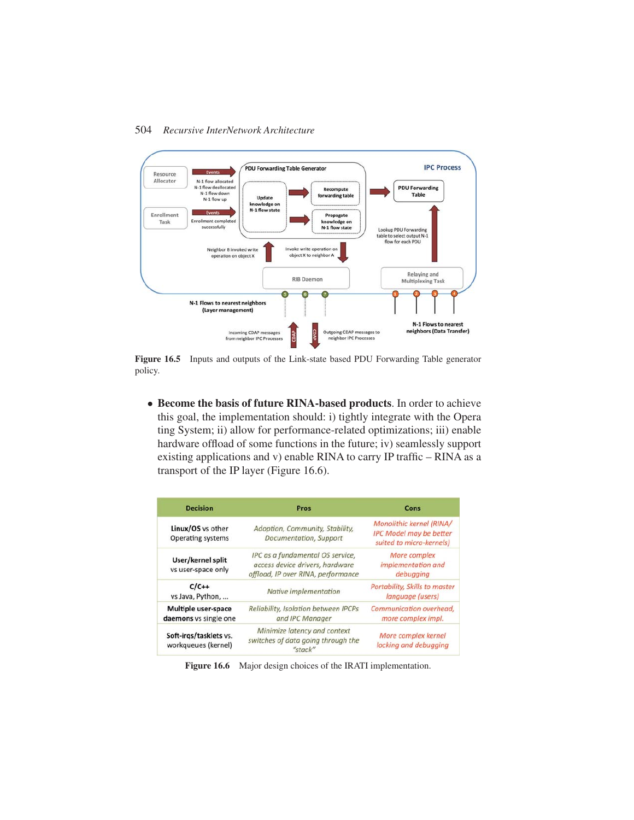

Figure 16.5 Inputs and outputs of the Link-state based PDU Forwarding Table generator policy.

• **Become the basis of future RINA-based products**. In order to achieve this goal, the implementation should: i) tightly integrate with the Opera ting System; ii) allow for performance-related optimizations; iii) enable hardware offload of some functions in the future; iv) seamlessly support existing applications and v) enable RINA to carry IP traffic – RINA as a transport of the IP layer (Figure 16.6).

| <b>Decision</b>                                     | Pros                                                                                                      | Cons<br>Monolithic kernel (RINA/<br><b>IPC Model may be better</b><br>suited to micro-kernels)<br>More complex<br><i>implementation</i> and<br>debugging |  |
|-----------------------------------------------------|-----------------------------------------------------------------------------------------------------------|----------------------------------------------------------------------------------------------------------------------------------------------------------|--|
| Linux/OS vs other<br><b>Operating systems</b>       | Adoption, Community, Stability,<br>Documentation, Support                                                 |                                                                                                                                                          |  |
| User/kernel split<br>vs user-space only             | IPC as a fundamental OS service,<br>access device drivers, hardware<br>offload, IP over RINA, performance |                                                                                                                                                          |  |
| $C/C++$<br>vs Java, Python,                         | Native implementation                                                                                     | Portability, Skills to master<br>language (users)                                                                                                        |  |
| <b>Multiple user-space</b><br>daemons vs single one | Reliability, Isolation between IPCPs<br>and IPC Manager                                                   | Communication overhead,<br>more complex impl.                                                                                                            |  |
| Soft-irqs/tasklets vs.<br>workqueues (kernel)       | Minimize latency and context<br>switches of data going through the<br>"stack"                             | More complex kernel<br>locking and debugging                                                                                                             |  |

**Figure 16.6** Major design choices of the IRATI implementation.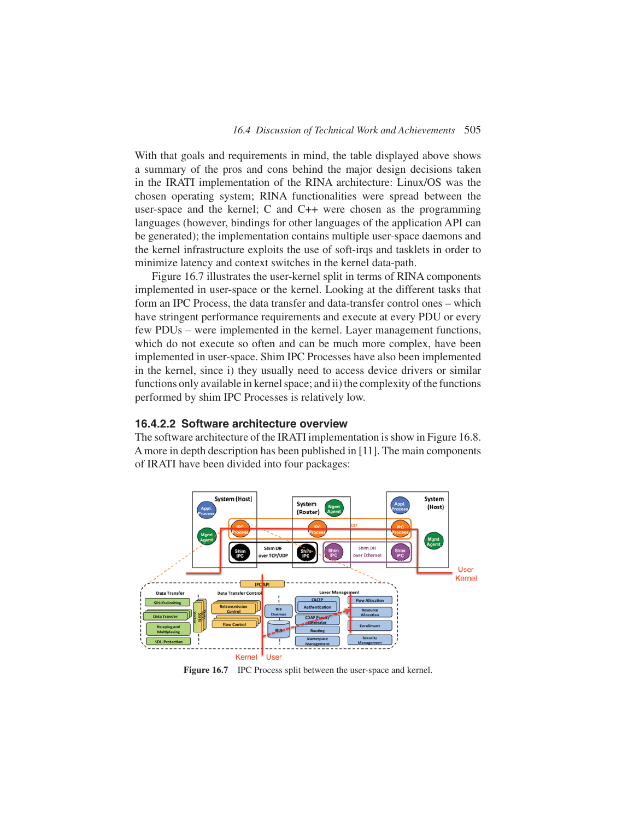With that goals and requirements in mind, the table displayed above shows a summary of the pros and cons behind the major design decisions taken in the IRATI implementation of the RINA architecture: Linux/OS was the chosen operating system; RINA functionalities were spread between the user-space and the kernel; C and C++ were chosen as the programming languages (however, bindings for other languages of the application API can be generated); the implementation contains multiple user-space daemons and the kernel infrastructure exploits the use of soft-irqs and tasklets in order to minimize latency and context switches in the kernel data-path.

Figure 16.7 illustrates the user-kernel split in terms of RINA components implemented in user-space or the kernel. Looking at the different tasks that form an IPC Process, the data transfer and data-transfer control ones – which have stringent performance requirements and execute at every PDU or every few PDUs – were implemented in the kernel. Layer management functions, which do not execute so often and can be much more complex, have been implemented in user-space. Shim IPC Processes have also been implemented in the kernel, since i) they usually need to access device drivers or similar functions only available in kernel space; and ii) the complexity of the functions performed by shim IPC Processes is relatively low.

#### **16.4.2.2 Software architecture overview**

The software architecture of the IRATI implementation is show in Figure 16.8. A more in depth description has been published in [11]. The main components of IRATI have been divided into four packages:



**Figure 16.7** IPC Process split between the user-space and kernel.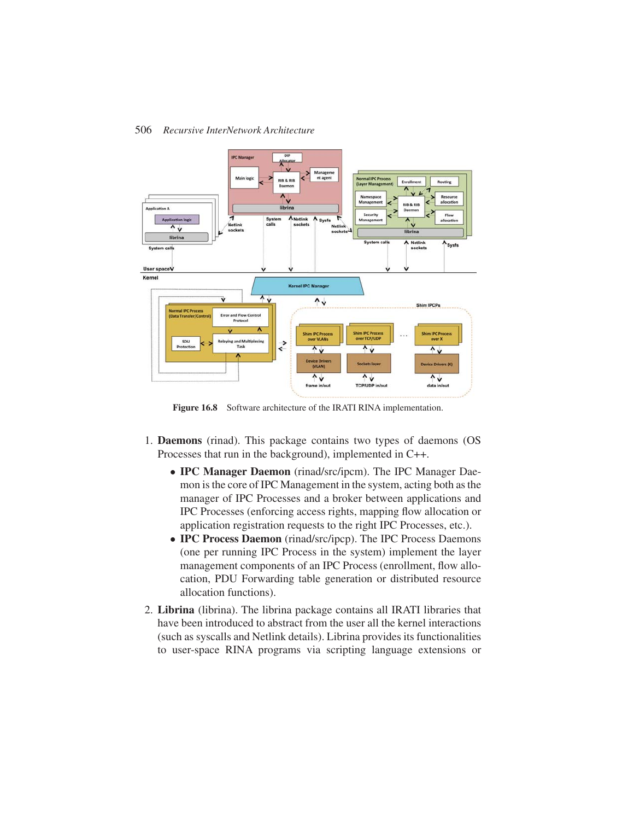

**Figure 16.8** Software architecture of the IRATI RINA implementation.

- 1. **Daemons** (rinad). This package contains two types of daemons (OS Processes that run in the background), implemented in C++.
	- **IPC Manager Daemon** (rinad/src/ipcm). The IPC Manager Daemon is the core of IPC Management in the system, acting both as the manager of IPC Processes and a broker between applications and IPC Processes (enforcing access rights, mapping flow allocation or application registration requests to the right IPC Processes, etc.).
	- **IPC Process Daemon** (rinad/src/ipcp). The IPC Process Daemons (one per running IPC Process in the system) implement the layer management components of an IPC Process (enrollment, flow allocation, PDU Forwarding table generation or distributed resource allocation functions).
- 2. **Librina** (librina). The librina package contains all IRATI libraries that have been introduced to abstract from the user all the kernel interactions (such as syscalls and Netlink details). Librina provides its functionalities to user-space RINA programs via scripting language extensions or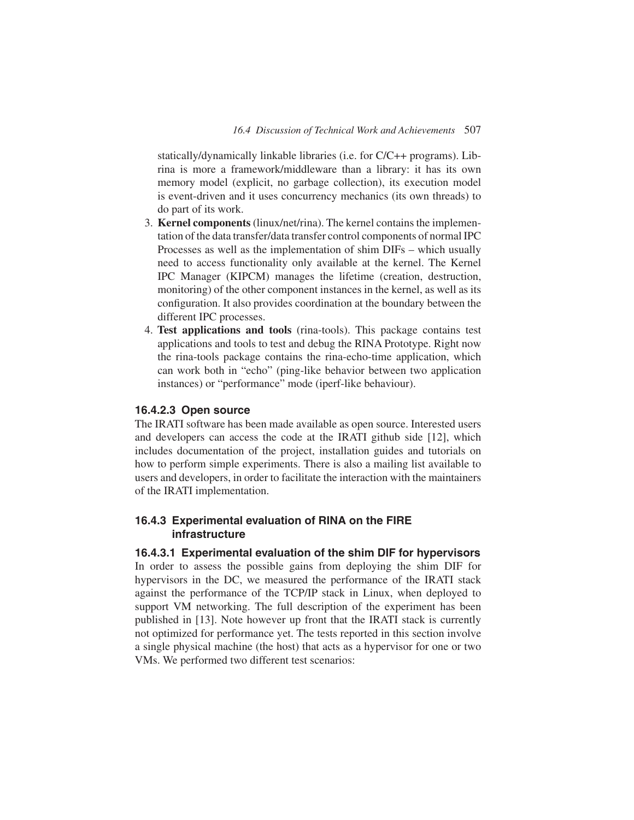statically/dynamically linkable libraries (i.e. for C/C++ programs). Librina is more a framework/middleware than a library: it has its own memory model (explicit, no garbage collection), its execution model is event-driven and it uses concurrency mechanics (its own threads) to do part of its work.

- 3. **Kernel components** (linux/net/rina). The kernel contains the implementation of the data transfer/data transfer control components of normal IPC Processes as well as the implementation of shim DIFs – which usually need to access functionality only available at the kernel. The Kernel IPC Manager (KIPCM) manages the lifetime (creation, destruction, monitoring) of the other component instances in the kernel, as well as its configuration. It also provides coordination at the boundary between the different IPC processes.
- 4. **Test applications and tools** (rina-tools). This package contains test applications and tools to test and debug the RINA Prototype. Right now the rina-tools package contains the rina-echo-time application, which can work both in "echo" (ping-like behavior between two application instances) or "performance" mode (iperf-like behaviour).

# **16.4.2.3 Open source**

The IRATI software has been made available as open source. Interested users and developers can access the code at the IRATI github side [12], which includes documentation of the project, installation guides and tutorials on how to perform simple experiments. There is also a mailing list available to users and developers, in order to facilitate the interaction with the maintainers of the IRATI implementation.

# **16.4.3 Experimental evaluation of RINA on the FIRE infrastructure**

**16.4.3.1 Experimental evaluation of the shim DIF for hypervisors** In order to assess the possible gains from deploying the shim DIF for hypervisors in the DC, we measured the performance of the IRATI stack against the performance of the TCP/IP stack in Linux, when deployed to support VM networking. The full description of the experiment has been published in [13]. Note however up front that the IRATI stack is currently not optimized for performance yet. The tests reported in this section involve a single physical machine (the host) that acts as a hypervisor for one or two VMs. We performed two different test scenarios: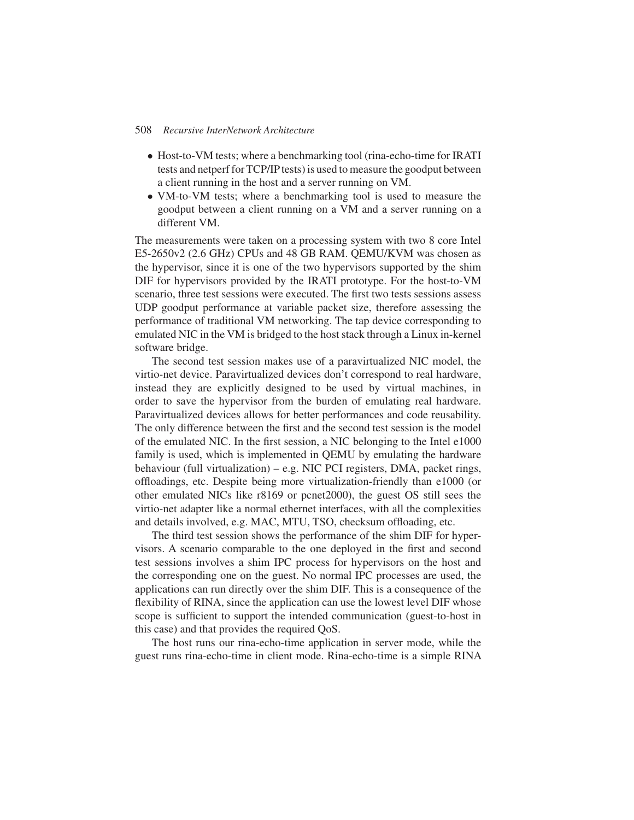- Host-to-VM tests; where a benchmarking tool (rina-echo-time for IRATI tests and netperf for TCP/IP tests) is used to measure the goodput between a client running in the host and a server running on VM.
- VM-to-VM tests; where a benchmarking tool is used to measure the goodput between a client running on a VM and a server running on a different VM.

The measurements were taken on a processing system with two 8 core Intel E5-2650v2 (2.6 GHz) CPUs and 48 GB RAM. QEMU/KVM was chosen as the hypervisor, since it is one of the two hypervisors supported by the shim DIF for hypervisors provided by the IRATI prototype. For the host-to-VM scenario, three test sessions were executed. The first two tests sessions assess UDP goodput performance at variable packet size, therefore assessing the performance of traditional VM networking. The tap device corresponding to emulated NIC in the VM is bridged to the host stack through a Linux in-kernel software bridge.

The second test session makes use of a paravirtualized NIC model, the virtio-net device. Paravirtualized devices don't correspond to real hardware, instead they are explicitly designed to be used by virtual machines, in order to save the hypervisor from the burden of emulating real hardware. Paravirtualized devices allows for better performances and code reusability. The only difference between the first and the second test session is the model of the emulated NIC. In the first session, a NIC belonging to the Intel e1000 family is used, which is implemented in QEMU by emulating the hardware behaviour (full virtualization) – e.g. NIC PCI registers, DMA, packet rings, offloadings, etc. Despite being more virtualization-friendly than e1000 (or other emulated NICs like r8169 or pcnet2000), the guest OS still sees the virtio-net adapter like a normal ethernet interfaces, with all the complexities and details involved, e.g. MAC, MTU, TSO, checksum offloading, etc.

The third test session shows the performance of the shim DIF for hypervisors. A scenario comparable to the one deployed in the first and second test sessions involves a shim IPC process for hypervisors on the host and the corresponding one on the guest. No normal IPC processes are used, the applications can run directly over the shim DIF. This is a consequence of the flexibility of RINA, since the application can use the lowest level DIF whose scope is sufficient to support the intended communication (guest-to-host in this case) and that provides the required QoS.

The host runs our rina-echo-time application in server mode, while the guest runs rina-echo-time in client mode. Rina-echo-time is a simple RINA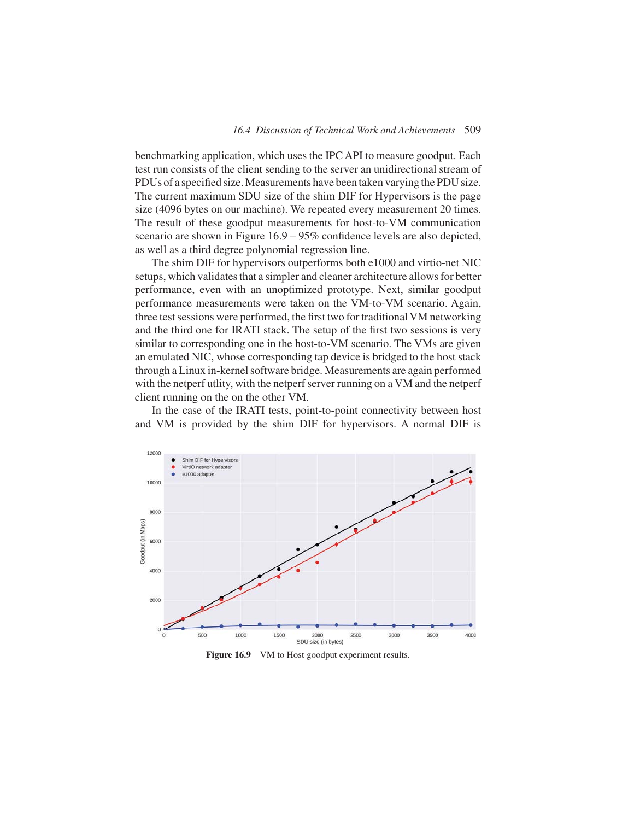benchmarking application, which uses the IPC API to measure goodput. Each test run consists of the client sending to the server an unidirectional stream of PDUs of a specified size. Measurements have been taken varying the PDU size. The current maximum SDU size of the shim DIF for Hypervisors is the page size (4096 bytes on our machine). We repeated every measurement 20 times. The result of these goodput measurements for host-to-VM communication scenario are shown in Figure 16.9 – 95% confidence levels are also depicted, as well as a third degree polynomial regression line.

The shim DIF for hypervisors outperforms both e1000 and virtio-net NIC setups, which validates that a simpler and cleaner architecture allows for better performance, even with an unoptimized prototype. Next, similar goodput performance measurements were taken on the VM-to-VM scenario. Again, three test sessions were performed, the first two for traditional VM networking and the third one for IRATI stack. The setup of the first two sessions is very similar to corresponding one in the host-to-VM scenario. The VMs are given an emulated NIC, whose corresponding tap device is bridged to the host stack through a Linux in-kernel software bridge. Measurements are again performed with the netperf utlity, with the netperf server running on a VM and the netperf client running on the on the other VM.

In the case of the IRATI tests, point-to-point connectivity between host and VM is provided by the shim DIF for hypervisors. A normal DIF is



Figure 16.9 VM to Host goodput experiment results.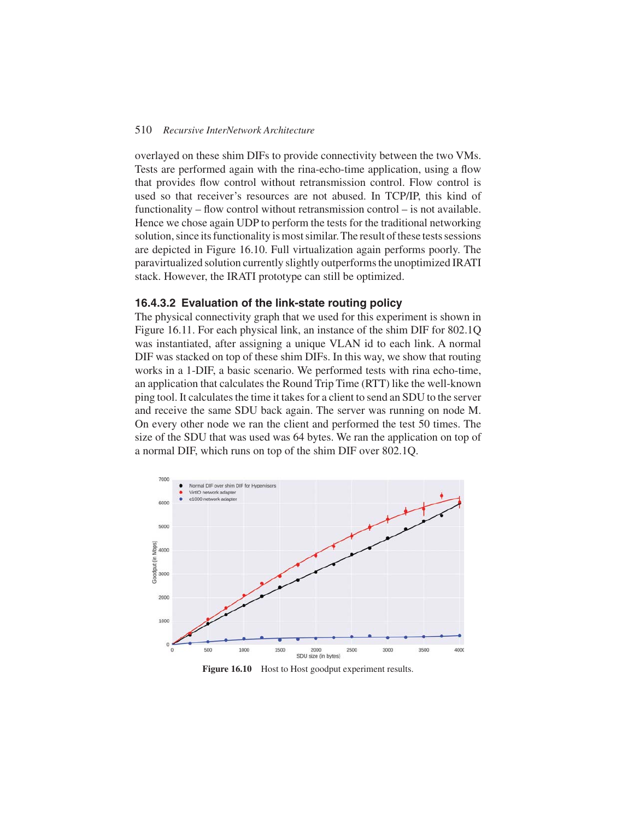overlayed on these shim DIFs to provide connectivity between the two VMs. Tests are performed again with the rina-echo-time application, using a flow that provides flow control without retransmission control. Flow control is used so that receiver's resources are not abused. In TCP/IP, this kind of functionality – flow control without retransmission control – is not available. Hence we chose again UDP to perform the tests for the traditional networking solution, since its functionality is most similar. The result of these tests sessions are depicted in Figure 16.10. Full virtualization again performs poorly. The paravirtualized solution currently slightly outperforms the unoptimized IRATI stack. However, the IRATI prototype can still be optimized.

#### **16.4.3.2 Evaluation of the link-state routing policy**

The physical connectivity graph that we used for this experiment is shown in Figure 16.11. For each physical link, an instance of the shim DIF for 802.1Q was instantiated, after assigning a unique VLAN id to each link. A normal DIF was stacked on top of these shim DIFs. In this way, we show that routing works in a 1-DIF, a basic scenario. We performed tests with rina echo-time, an application that calculates the Round Trip Time (RTT) like the well-known ping tool. It calculates the time it takes for a client to send an SDU to the server and receive the same SDU back again. The server was running on node M. On every other node we ran the client and performed the test 50 times. The size of the SDU that was used was 64 bytes. We ran the application on top of a normal DIF, which runs on top of the shim DIF over 802.1Q.



Figure 16.10 Host to Host goodput experiment results.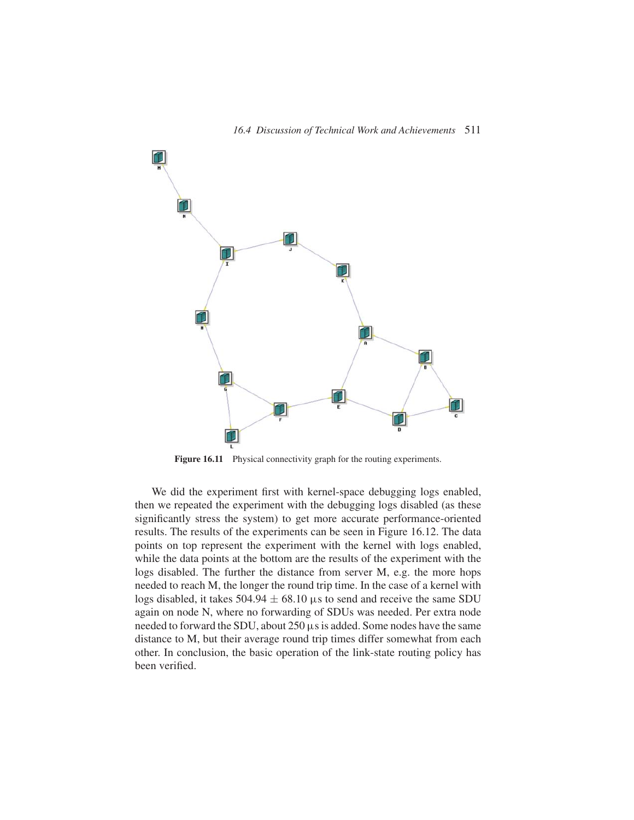

Figure 16.11 Physical connectivity graph for the routing experiments.

We did the experiment first with kernel-space debugging logs enabled, then we repeated the experiment with the debugging logs disabled (as these significantly stress the system) to get more accurate performance-oriented results. The results of the experiments can be seen in Figure 16.12. The data points on top represent the experiment with the kernel with logs enabled, while the data points at the bottom are the results of the experiment with the logs disabled. The further the distance from server M, e.g. the more hops needed to reach M, the longer the round trip time. In the case of a kernel with logs disabled, it takes  $504.94 \pm 68.10 \,\mu s$  to send and receive the same SDU again on node N, where no forwarding of SDUs was needed. Per extra node needed to forward the SDU, about 250 μs is added. Some nodes have the same distance to M, but their average round trip times differ somewhat from each other. In conclusion, the basic operation of the link-state routing policy has been verified.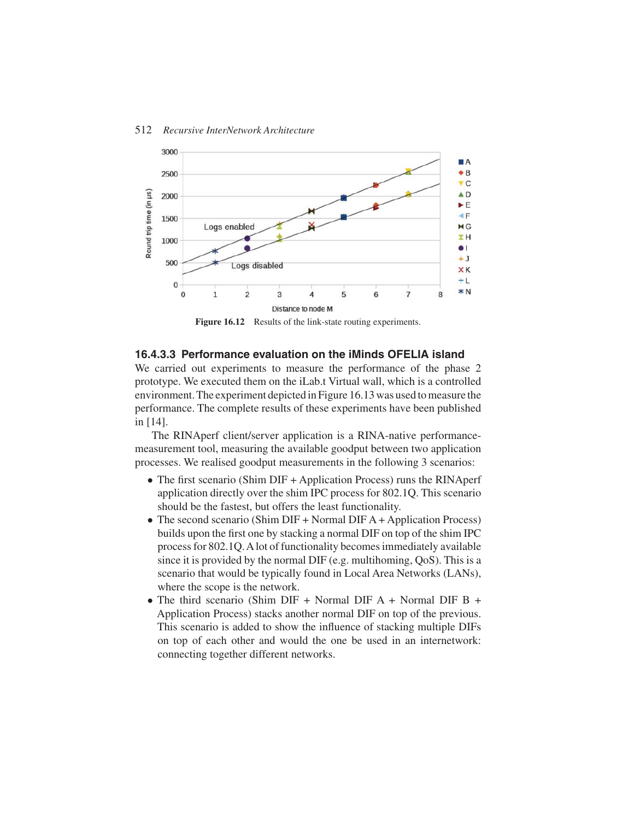

Figure 16.12 Results of the link-state routing experiments.

# **16.4.3.3 Performance evaluation on the iMinds OFELIA island**

We carried out experiments to measure the performance of the phase 2 prototype. We executed them on the iLab.t Virtual wall, which is a controlled environment. The experiment depicted in Figure 16.13 was used to measure the performance. The complete results of these experiments have been published in [14].

The RINAperf client/server application is a RINA-native performancemeasurement tool, measuring the available goodput between two application processes. We realised goodput measurements in the following 3 scenarios:

- The first scenario (Shim DIF + Application Process) runs the RINAperf application directly over the shim IPC process for 802.1Q. This scenario should be the fastest, but offers the least functionality.
- The second scenario (Shim DIF + Normal DIF  $A + Application$  Process) builds upon the first one by stacking a normal DIF on top of the shim IPC process for 802.1Q.Alot of functionality becomes immediately available since it is provided by the normal DIF (e.g. multihoming, QoS). This is a scenario that would be typically found in Local Area Networks (LANs), where the scope is the network.
- The third scenario (Shim DIF + Normal DIF A + Normal DIF B + Application Process) stacks another normal DIF on top of the previous. This scenario is added to show the influence of stacking multiple DIFs on top of each other and would the one be used in an internetwork: connecting together different networks.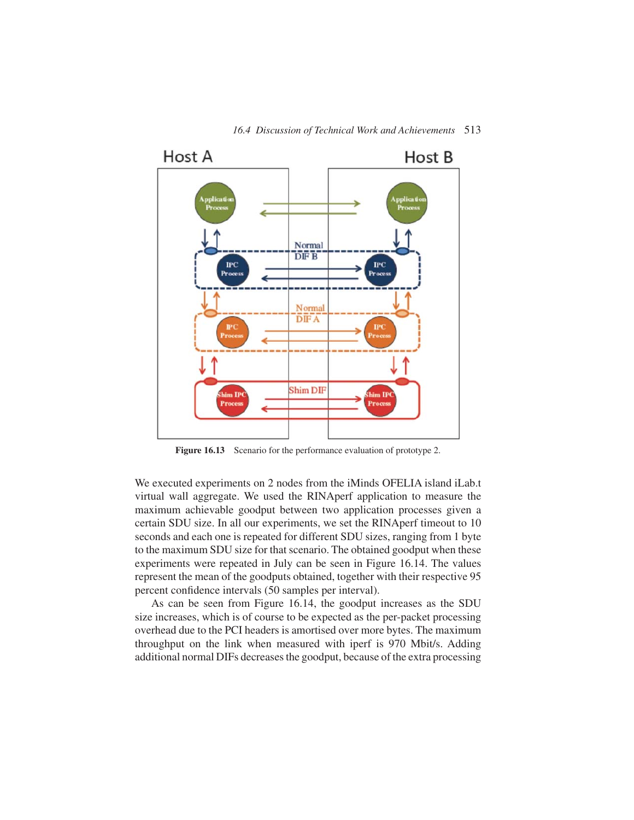

**Figure 16.13** Scenario for the performance evaluation of prototype 2.

We executed experiments on 2 nodes from the iMinds OFELIA island iLab.t virtual wall aggregate. We used the RINAperf application to measure the maximum achievable goodput between two application processes given a certain SDU size. In all our experiments, we set the RINAperf timeout to 10 seconds and each one is repeated for different SDU sizes, ranging from 1 byte to the maximum SDU size for that scenario. The obtained goodput when these experiments were repeated in July can be seen in Figure 16.14. The values represent the mean of the goodputs obtained, together with their respective 95 percent confidence intervals (50 samples per interval).

As can be seen from Figure 16.14, the goodput increases as the SDU size increases, which is of course to be expected as the per-packet processing overhead due to the PCI headers is amortised over more bytes. The maximum throughput on the link when measured with iperf is 970 Mbit/s. Adding additional normal DIFs decreases the goodput, because of the extra processing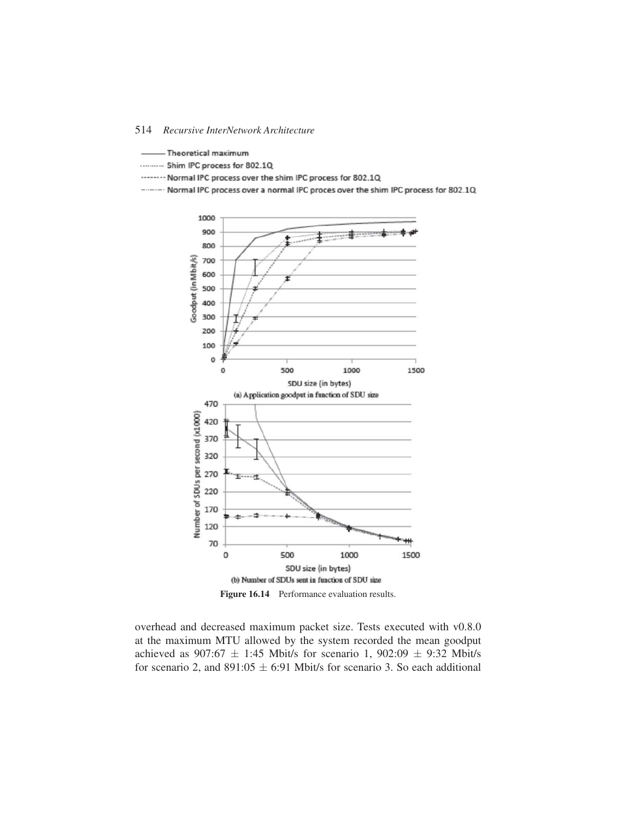Theoretical maximum

- Shim IPC process for 802.1Q .<br>....
- -------- Normal IPC process over the shim IPC process for 802.1Q
- Normal IPC process over a normal IPC proces over the shim IPC process for 802.1Q



Figure 16.14 Performance evaluation results.

overhead and decreased maximum packet size. Tests executed with v0.8.0 at the maximum MTU allowed by the system recorded the mean goodput achieved as  $907:67 \pm 1:45$  Mbit/s for scenario 1,  $902:09 \pm 9:32$  Mbit/s for scenario 2, and  $891:05 \pm 6:91$  Mbit/s for scenario 3. So each additional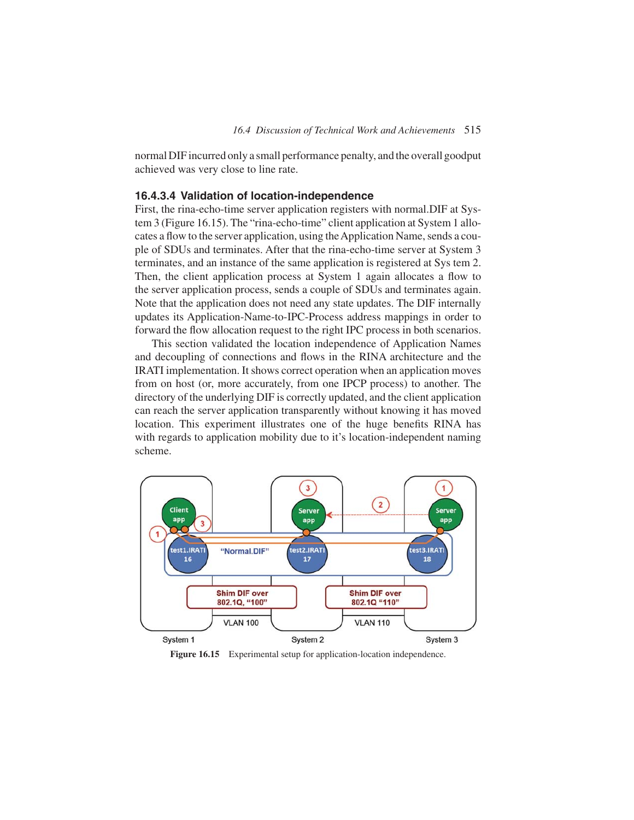normal DIF incurred only a small performance penalty, and the overall goodput achieved was very close to line rate.

#### **16.4.3.4 Validation of location-independence**

First, the rina-echo-time server application registers with normal.DIF at System 3 (Figure 16.15). The "rina-echo-time" client application at System 1 allocates a flow to the server application, using the Application Name, sends a couple of SDUs and terminates. After that the rina-echo-time server at System 3 terminates, and an instance of the same application is registered at Sys tem 2. Then, the client application process at System 1 again allocates a flow to the server application process, sends a couple of SDUs and terminates again. Note that the application does not need any state updates. The DIF internally updates its Application-Name-to-IPC-Process address mappings in order to forward the flow allocation request to the right IPC process in both scenarios.

This section validated the location independence of Application Names and decoupling of connections and flows in the RINA architecture and the IRATI implementation. It shows correct operation when an application moves from on host (or, more accurately, from one IPCP process) to another. The directory of the underlying DIF is correctly updated, and the client application can reach the server application transparently without knowing it has moved location. This experiment illustrates one of the huge benefits RINA has with regards to application mobility due to it's location-independent naming scheme.



Figure 16.15 Experimental setup for application-location independence.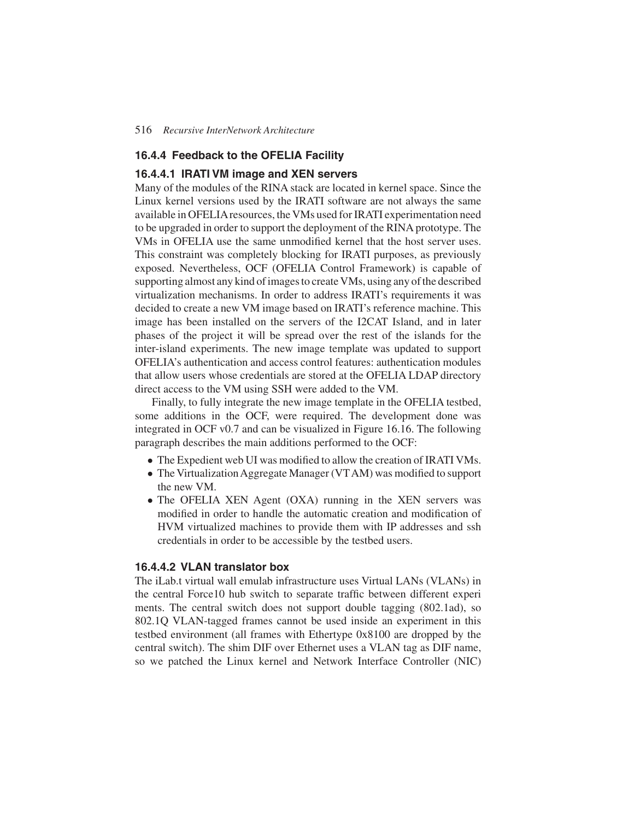### **16.4.4 Feedback to the OFELIA Facility**

# **16.4.4.1 IRATI VM image and XEN servers**

Many of the modules of the RINA stack are located in kernel space. Since the Linux kernel versions used by the IRATI software are not always the same available in OFELIA resources, the VMs used for IRATI experimentation need to be upgraded in order to support the deployment of the RINA prototype. The VMs in OFELIA use the same unmodified kernel that the host server uses. This constraint was completely blocking for IRATI purposes, as previously exposed. Nevertheless, OCF (OFELIA Control Framework) is capable of supporting almost any kind of images to create VMs, using any of the described virtualization mechanisms. In order to address IRATI's requirements it was decided to create a new VM image based on IRATI's reference machine. This image has been installed on the servers of the I2CAT Island, and in later phases of the project it will be spread over the rest of the islands for the inter-island experiments. The new image template was updated to support OFELIA's authentication and access control features: authentication modules that allow users whose credentials are stored at the OFELIA LDAP directory direct access to the VM using SSH were added to the VM.

Finally, to fully integrate the new image template in the OFELIA testbed, some additions in the OCF, were required. The development done was integrated in OCF v0.7 and can be visualized in Figure 16.16. The following paragraph describes the main additions performed to the OCF:

- The Expedient web UI was modified to allow the creation of IRATI VMs.
- The Virtualization Aggregate Manager (VTAM) was modified to support the new VM.
- The OFELIA XEN Agent (OXA) running in the XEN servers was modified in order to handle the automatic creation and modification of HVM virtualized machines to provide them with IP addresses and ssh credentials in order to be accessible by the testbed users.

# **16.4.4.2 VLAN translator box**

The iLab.t virtual wall emulab infrastructure uses Virtual LANs (VLANs) in the central Force10 hub switch to separate traffic between different experi ments. The central switch does not support double tagging (802.1ad), so 802.1Q VLAN-tagged frames cannot be used inside an experiment in this testbed environment (all frames with Ethertype 0x8100 are dropped by the central switch). The shim DIF over Ethernet uses a VLAN tag as DIF name, so we patched the Linux kernel and Network Interface Controller (NIC)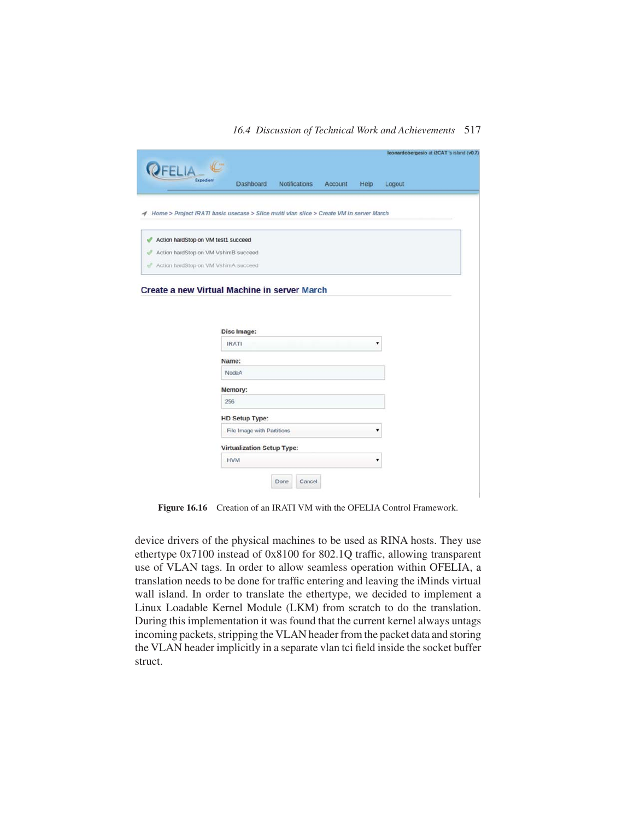#### *16.4 Discussion of Technical Work and Achievements* 517

|     |                                                                                           |                      |         |      | leonardobergesio at i2CAT 's island (v0.7) |
|-----|-------------------------------------------------------------------------------------------|----------------------|---------|------|--------------------------------------------|
| LIA | $\sqrt{2}$<br>Expedient<br>Dashboard                                                      | <b>Notifications</b> | Account | Help | Logout                                     |
|     | 4 Home > Project IRATI basic usecase > Slice multi vian slice > Create VM in server March |                      |         |      |                                            |
| ᢦ   | Action hardStop on VM test1 succeed                                                       |                      |         |      |                                            |
| A.  | Action hardStop on VM VshimB succeed                                                      |                      |         |      |                                            |
| w.  | Action hardStop on VM VshimA succeed                                                      |                      |         |      |                                            |
|     | <b>Disc Image:</b><br><b>IRATI</b>                                                        |                      |         | ۳    |                                            |
|     | Name:                                                                                     |                      |         |      |                                            |
|     | NodeA                                                                                     |                      |         |      |                                            |
|     | Memory:                                                                                   |                      |         |      |                                            |
|     | 256                                                                                       |                      |         |      |                                            |
|     | <b>HD Setup Type:</b>                                                                     |                      |         |      |                                            |
|     | File Image with Partitions                                                                |                      |         |      |                                            |
|     | <b>Virtualization Setup Type:</b>                                                         |                      |         |      |                                            |
|     | <b>HVM</b>                                                                                |                      |         |      |                                            |
|     |                                                                                           | Done<br>Cancel       |         |      |                                            |
|     |                                                                                           |                      |         |      |                                            |

Figure 16.16 Creation of an IRATI VM with the OFELIA Control Framework.

device drivers of the physical machines to be used as RINA hosts. They use ethertype 0x7100 instead of 0x8100 for 802.1Q traffic, allowing transparent use of VLAN tags. In order to allow seamless operation within OFELIA, a translation needs to be done for traffic entering and leaving the iMinds virtual wall island. In order to translate the ethertype, we decided to implement a Linux Loadable Kernel Module (LKM) from scratch to do the translation. During this implementation it was found that the current kernel always untags incoming packets, stripping the VLAN header from the packet data and storing the VLAN header implicitly in a separate vlan tci field inside the socket buffer struct.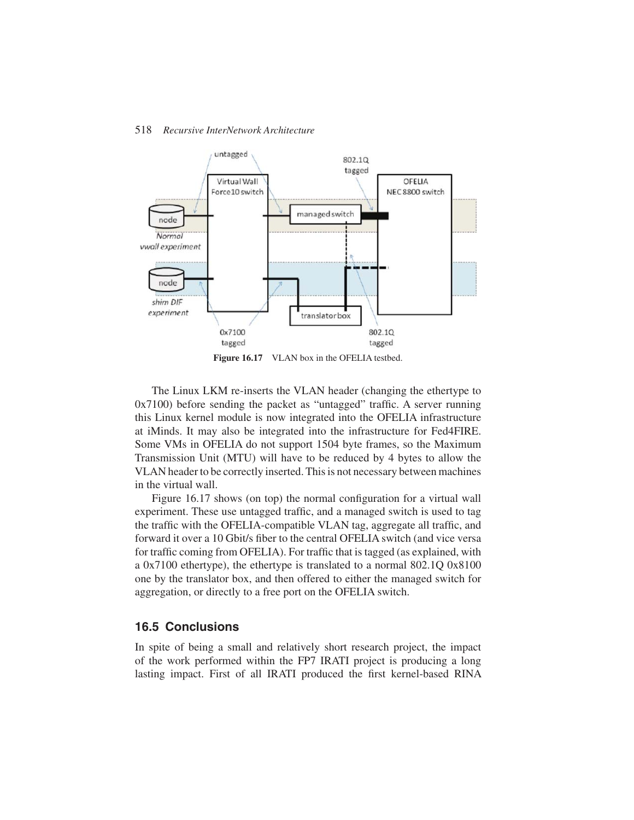

Figure 16.17 VLAN box in the OFELIA testbed.

The Linux LKM re-inserts the VLAN header (changing the ethertype to 0x7100) before sending the packet as "untagged" traffic. A server running this Linux kernel module is now integrated into the OFELIA infrastructure at iMinds. It may also be integrated into the infrastructure for Fed4FIRE. Some VMs in OFELIA do not support 1504 byte frames, so the Maximum Transmission Unit (MTU) will have to be reduced by 4 bytes to allow the VLAN header to be correctly inserted. This is not necessary between machines in the virtual wall.

Figure 16.17 shows (on top) the normal configuration for a virtual wall experiment. These use untagged traffic, and a managed switch is used to tag the traffic with the OFELIA-compatible VLAN tag, aggregate all traffic, and forward it over a 10 Gbit/s fiber to the central OFELIA switch (and vice versa for traffic coming from OFELIA). For traffic that is tagged (as explained, with a 0x7100 ethertype), the ethertype is translated to a normal 802.1Q 0x8100 one by the translator box, and then offered to either the managed switch for aggregation, or directly to a free port on the OFELIA switch.

# **16.5 Conclusions**

In spite of being a small and relatively short research project, the impact of the work performed within the FP7 IRATI project is producing a long lasting impact. First of all IRATI produced the first kernel-based RINA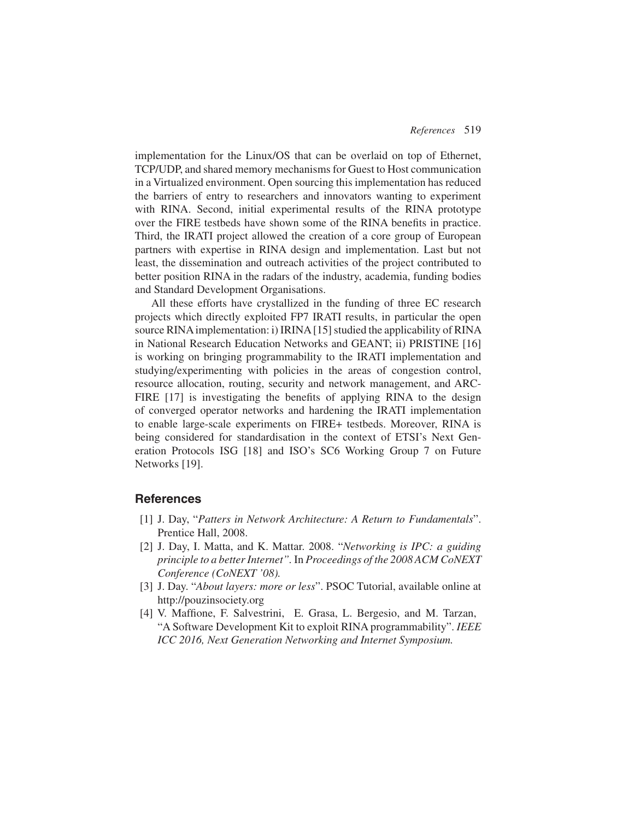implementation for the Linux/OS that can be overlaid on top of Ethernet, TCP/UDP, and shared memory mechanisms for Guest to Host communication in a Virtualized environment. Open sourcing this implementation has reduced the barriers of entry to researchers and innovators wanting to experiment with RINA. Second, initial experimental results of the RINA prototype over the FIRE testbeds have shown some of the RINA benefits in practice. Third, the IRATI project allowed the creation of a core group of European partners with expertise in RINA design and implementation. Last but not least, the dissemination and outreach activities of the project contributed to better position RINA in the radars of the industry, academia, funding bodies and Standard Development Organisations.

All these efforts have crystallized in the funding of three EC research projects which directly exploited FP7 IRATI results, in particular the open source RINA implementation: i) IRINA [15] studied the applicability of RINA in National Research Education Networks and GEANT; ii) PRISTINE [16] is working on bringing programmability to the IRATI implementation and studying/experimenting with policies in the areas of congestion control, resource allocation, routing, security and network management, and ARC-FIRE [17] is investigating the benefits of applying RINA to the design of converged operator networks and hardening the IRATI implementation to enable large-scale experiments on FIRE+ testbeds. Moreover, RINA is being considered for standardisation in the context of ETSI's Next Generation Protocols ISG [18] and ISO's SC6 Working Group 7 on Future Networks [19].

# **References**

- [1] J. Day, "*Patters in Network Architecture: A Return to Fundamentals*". Prentice Hall, 2008.
- [2] J. Day, I. Matta, and K. Mattar. 2008. "*Networking is IPC: a guiding principle to a better Internet".* In *Proceedings of the 2008 ACM CoNEXT Conference (CoNEXT '08).*
- [3] J. Day. "*About layers: more or less*". PSOC Tutorial, available online at http://pouzinsociety.org
- [4] V. Maffione, F. Salvestrini, E. Grasa, L. Bergesio, and M. Tarzan, "A Software Development Kit to exploit RINA programmability". *IEEE ICC 2016, Next Generation Networking and Internet Symposium.*